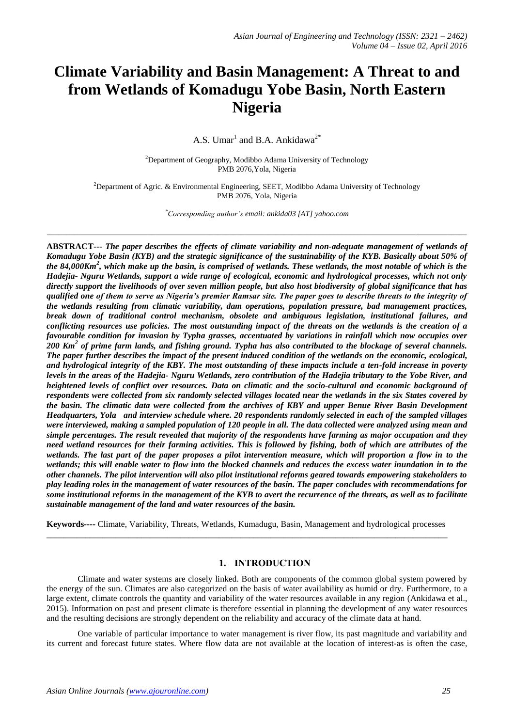# **Climate Variability and Basin Management: A Threat to and from Wetlands of Komadugu Yobe Basin, North Eastern Nigeria**

A.S. Umar<sup>1</sup> and B.A. Ankidawa<sup>2\*</sup>

<sup>2</sup>Department of Geography, Modibbo Adama University of Technology PMB 2076,Yola, Nigeria

<sup>2</sup>Department of Agric. & Environmental Engineering, SEET, Modibbo Adama University of Technology PMB 2076, Yola, Nigeria

*\*Corresponding author's email: ankida03 [AT] yahoo.com*

*\_\_\_\_\_\_\_\_\_\_\_\_\_\_\_\_\_\_\_\_\_\_\_\_\_\_\_\_\_\_\_\_\_\_\_\_\_\_\_\_\_\_\_\_\_\_\_\_\_\_\_\_\_\_\_\_\_\_\_\_\_\_\_\_\_\_\_\_\_\_\_\_\_\_\_\_\_\_\_\_\_\_\_\_\_\_\_\_\_\_\_\_\_\_\_\_\_\_\_\_\_\_\_\_\_\_\_\_*

**ABSTRACT---** *The paper describes the effects of climate variability and non-adequate management of wetlands of Komadugu Yobe Basin (KYB) and the strategic significance of the sustainability of the KYB. Basically about 50% of the 84,000Km<sup>2</sup> , which make up the basin, is comprised of wetlands. These wetlands, the most notable of which is the Hadejia- Nguru Wetlands, support a wide range of ecological, economic and hydrological processes, which not only directly support the livelihoods of over seven million people, but also host biodiversity of global significance that has qualified one of them to serve as Nigeria's premier Ramsar site. The paper goes to describe threats to the integrity of the wetlands resulting from climatic variability, dam operations, population pressure, bad management practices, break down of traditional control mechanism, obsolete and ambiguous legislation, institutional failures, and conflicting resources use policies. The most outstanding impact of the threats on the wetlands is the creation of a favourable condition for invasion by Typha grasses, accentuated by variations in rainfall which now occupies over 200 Km<sup>2</sup> of prime farm lands, and fishing ground. Typha has also contributed to the blockage of several channels. The paper further describes the impact of the present induced condition of the wetlands on the economic, ecological, and hydrological integrity of the KBY. The most outstanding of these impacts include a ten-fold increase in poverty levels in the areas of the Hadejia- Nguru Wetlands, zero contribution of the Hadejia tributary to the Yobe River, and heightened levels of conflict over resources. Data on climatic and the socio-cultural and economic background of respondents were collected from six randomly selected villages located near the wetlands in the six States covered by the basin. The climatic data were collected from the archives of KBY and upper Benue River Basin Development Headquarters, Yola and interview schedule where. 20 respondents randomly selected in each of the sampled villages were interviewed, making a sampled population of 120 people in all. The data collected were analyzed using mean and simple percentages. The result revealed that majority of the respondents have farming as major occupation and they need wetland resources for their farming activities. This is followed by fishing, both of which are attributes of the*  wetlands. The last part of the paper proposes a pilot intervention measure, which will proportion a flow in to the *wetlands; this will enable water to flow into the blocked channels and reduces the excess water inundation in to the other channels. The pilot intervention will also pilot institutional reforms geared towards empowering stakeholders to play leading roles in the management of water resources of the basin. The paper concludes with recommendations for some institutional reforms in the management of the KYB to avert the recurrence of the threats, as well as to facilitate sustainable management of the land and water resources of the basin.*

**Keywords***----* Climate, Variability, Threats, Wetlands, Kumadugu, Basin, Management and hydrological processes \_\_\_\_\_\_\_\_\_\_\_\_\_\_\_\_\_\_\_\_\_\_\_\_\_\_\_\_\_\_\_\_\_\_\_\_\_\_\_\_\_\_\_\_\_\_\_\_\_\_\_\_\_\_\_\_\_\_\_\_\_\_\_\_\_\_\_\_\_\_\_\_\_\_\_\_\_\_\_\_\_\_\_\_\_\_\_\_\_\_\_\_\_

# **1. INTRODUCTION**

Climate and water systems are closely linked. Both are components of the common global system powered by the energy of the sun. Climates are also categorized on the basis of water availability as humid or dry. Furthermore, to a large extent, climate controls the quantity and variability of the water resources available in any region (Ankidawa et al., 2015). Information on past and present climate is therefore essential in planning the development of any water resources and the resulting decisions are strongly dependent on the reliability and accuracy of the climate data at hand.

One variable of particular importance to water management is river flow, its past magnitude and variability and its current and forecast future states. Where flow data are not available at the location of interest-as is often the case,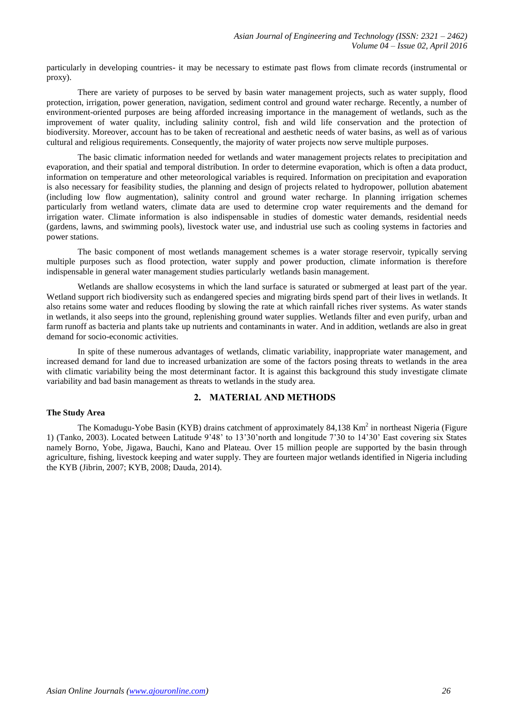particularly in developing countries- it may be necessary to estimate past flows from climate records (instrumental or proxy).

There are variety of purposes to be served by basin water management projects, such as water supply, flood protection, irrigation, power generation, navigation, sediment control and ground water recharge. Recently, a number of environment-oriented purposes are being afforded increasing importance in the management of wetlands, such as the improvement of water quality, including salinity control, fish and wild life conservation and the protection of biodiversity. Moreover, account has to be taken of recreational and aesthetic needs of water basins, as well as of various cultural and religious requirements. Consequently, the majority of water projects now serve multiple purposes.

The basic climatic information needed for wetlands and water management projects relates to precipitation and evaporation, and their spatial and temporal distribution. In order to determine evaporation, which is often a data product, information on temperature and other meteorological variables is required. Information on precipitation and evaporation is also necessary for feasibility studies, the planning and design of projects related to hydropower, pollution abatement (including low flow augmentation), salinity control and ground water recharge. In planning irrigation schemes particularly from wetland waters, climate data are used to determine crop water requirements and the demand for irrigation water. Climate information is also indispensable in studies of domestic water demands, residential needs (gardens, lawns, and swimming pools), livestock water use, and industrial use such as cooling systems in factories and power stations.

The basic component of most wetlands management schemes is a water storage reservoir, typically serving multiple purposes such as flood protection, water supply and power production, climate information is therefore indispensable in general water management studies particularly wetlands basin management.

Wetlands are shallow ecosystems in which the land surface is saturated or submerged at least part of the year. Wetland support rich biodiversity such as endangered species and migrating birds spend part of their lives in wetlands. It also retains some water and reduces flooding by slowing the rate at which rainfall riches river systems. As water stands in wetlands, it also seeps into the ground, replenishing ground water supplies. Wetlands filter and even purify, urban and farm runoff as bacteria and plants take up nutrients and contaminants in water. And in addition, wetlands are also in great demand for socio-economic activities.

In spite of these numerous advantages of wetlands, climatic variability, inappropriate water management, and increased demand for land due to increased urbanization are some of the factors posing threats to wetlands in the area with climatic variability being the most determinant factor. It is against this background this study investigate climate variability and bad basin management as threats to wetlands in the study area.

## **2. MATERIAL AND METHODS**

#### **The Study Area**

The Komadugu-Yobe Basin (KYB) drains catchment of approximately 84,138 Km<sup>2</sup> in northeast Nigeria (Figure 1) (Tanko, 2003). Located between Latitude 9'48' to 13'30'north and longitude 7'30 to 14'30' East covering six States namely Borno, Yobe, Jigawa, Bauchi, Kano and Plateau. Over 15 million people are supported by the basin through agriculture, fishing, livestock keeping and water supply. They are fourteen major wetlands identified in Nigeria including the KYB (Jibrin, 2007; KYB, 2008; Dauda, 2014).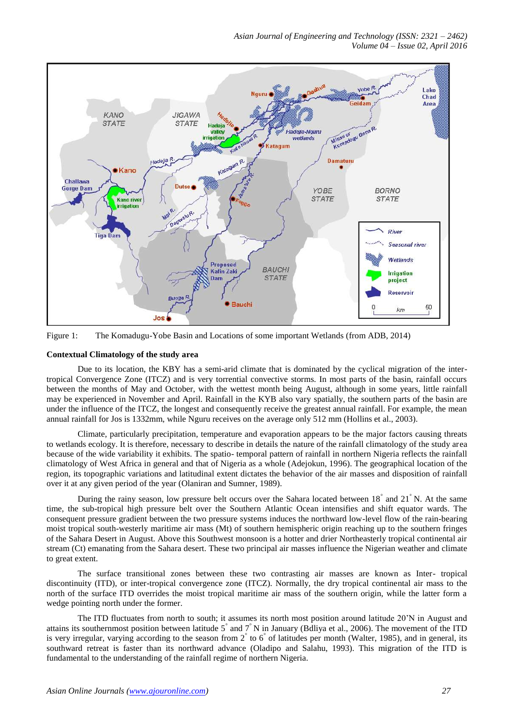

Figure 1: The Komadugu-Yobe Basin and Locations of some important Wetlands (from ADB, 2014)

## **Contextual Climatology of the study area**

Due to its location, the KBY has a semi-arid climate that is dominated by the cyclical migration of the intertropical Convergence Zone (ITCZ) and is very torrential convective storms. In most parts of the basin, rainfall occurs between the months of May and October, with the wettest month being August, although in some years, little rainfall may be experienced in November and April. Rainfall in the KYB also vary spatially, the southern parts of the basin are under the influence of the ITCZ, the longest and consequently receive the greatest annual rainfall. For example, the mean annual rainfall for Jos is 1332mm, while Nguru receives on the average only 512 mm (Hollins et al., 2003).

Climate, particularly precipitation, temperature and evaporation appears to be the major factors causing threats to wetlands ecology. It is therefore, necessary to describe in details the nature of the rainfall climatology of the study area because of the wide variability it exhibits. The spatio- temporal pattern of rainfall in northern Nigeria reflects the rainfall climatology of West Africa in general and that of Nigeria as a whole (Adejokun, 1996). The geographical location of the region, its topographic variations and latitudinal extent dictates the behavior of the air masses and disposition of rainfall over it at any given period of the year (Olaniran and Sumner, 1989).

During the rainy season, low pressure belt occurs over the Sahara located between 18<sup>°</sup> and 21<sup>°</sup> N. At the same time, the sub-tropical high pressure belt over the Southern Atlantic Ocean intensifies and shift equator wards. The consequent pressure gradient between the two pressure systems induces the northward low-level flow of the rain-bearing moist tropical south-westerly maritime air mass (Mt) of southern hemispheric origin reaching up to the southern fringes of the Sahara Desert in August. Above this Southwest monsoon is a hotter and drier Northeasterly tropical continental air stream (Ct) emanating from the Sahara desert. These two principal air masses influence the Nigerian weather and climate to great extent.

The surface transitional zones between these two contrasting air masses are known as Inter- tropical discontinuity (ITD), or inter-tropical convergence zone (ITCZ). Normally, the dry tropical continental air mass to the north of the surface ITD overrides the moist tropical maritime air mass of the southern origin, while the latter form a wedge pointing north under the former.

The ITD fluctuates from north to south; it assumes its north most position around latitude 20'N in August and attains its southernmost position between latitude  $5^\circ$  and  $7^\circ$  N in January (Bdliya et al., 2006). The movement of the ITD is very irregular, varying according to the season from  $2^{\degree}$  to  $6^{\degree}$  of latitudes per month (Walter, 1985), and in general, its southward retreat is faster than its northward advance (Oladipo and Salahu, 1993). This migration of the ITD is fundamental to the understanding of the rainfall regime of northern Nigeria.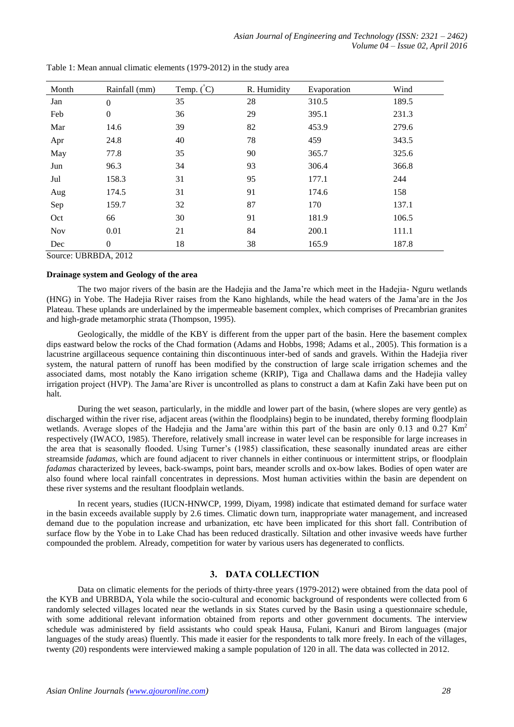| Month | Rainfall (mm)    | Temp. $\binom{°}{C}$ | R. Humidity | Evaporation | Wind  |
|-------|------------------|----------------------|-------------|-------------|-------|
| Jan   | $\boldsymbol{0}$ | 35                   | 28          | 310.5       | 189.5 |
| Feb   | $\overline{0}$   | 36                   | 29          | 395.1       | 231.3 |
| Mar   | 14.6             | 39                   | 82          | 453.9       | 279.6 |
| Apr   | 24.8             | 40                   | 78          | 459         | 343.5 |
| May   | 77.8             | 35                   | 90          | 365.7       | 325.6 |
| Jun   | 96.3             | 34                   | 93          | 306.4       | 366.8 |
| Jul   | 158.3            | 31                   | 95          | 177.1       | 244   |
| Aug   | 174.5            | 31                   | 91          | 174.6       | 158   |
| Sep   | 159.7            | 32                   | 87          | 170         | 137.1 |
| Oct   | 66               | 30                   | 91          | 181.9       | 106.5 |
| Nov   | 0.01             | 21                   | 84          | 200.1       | 111.1 |
| Dec   | $\Omega$         | 18                   | 38          | 165.9       | 187.8 |

Table 1: Mean annual climatic elements (1979-2012) in the study area

Source: UBRBDA, 2012

## **Drainage system and Geology of the area**

The two major rivers of the basin are the Hadejia and the Jama're which meet in the Hadejia- Nguru wetlands (HNG) in Yobe. The Hadejia River raises from the Kano highlands, while the head waters of the Jama'are in the Jos Plateau. These uplands are underlained by the impermeable basement complex, which comprises of Precambrian granites and high-grade metamorphic strata (Thompson, 1995).

Geologically, the middle of the KBY is different from the upper part of the basin. Here the basement complex dips eastward below the rocks of the Chad formation (Adams and Hobbs, 1998; Adams et al., 2005). This formation is a lacustrine argillaceous sequence containing thin discontinuous inter-bed of sands and gravels. Within the Hadejia river system, the natural pattern of runoff has been modified by the construction of large scale irrigation schemes and the associated dams, most notably the Kano irrigation scheme (KRIP), Tiga and Challawa dams and the Hadejia valley irrigation project (HVP). The Jama'are River is uncontrolled as plans to construct a dam at Kafin Zaki have been put on halt.

During the wet season, particularly, in the middle and lower part of the basin, (where slopes are very gentle) as discharged within the river rise, adjacent areas (within the floodplains) begin to be inundated, thereby forming floodplain wetlands. Average slopes of the Hadejia and the Jama'are within this part of the basin are only 0.13 and 0.27  $Km<sup>2</sup>$ respectively (IWACO, 1985). Therefore, relatively small increase in water level can be responsible for large increases in the area that is seasonally flooded. Using Turner's (1985) classification, these seasonally inundated areas are either streamside *fadamas,* which are found adjacent to river channels in either continuous or intermittent strips, or floodplain *fadamas* characterized by levees, back-swamps, point bars, meander scrolls and ox-bow lakes. Bodies of open water are also found where local rainfall concentrates in depressions. Most human activities within the basin are dependent on these river systems and the resultant floodplain wetlands.

In recent years, studies (IUCN-HNWCP, 1999, Diyam, 1998) indicate that estimated demand for surface water in the basin exceeds available supply by 2.6 times. Climatic down turn, inappropriate water management, and increased demand due to the population increase and urbanization, etc have been implicated for this short fall. Contribution of surface flow by the Yobe in to Lake Chad has been reduced drastically. Siltation and other invasive weeds have further compounded the problem. Already, competition for water by various users has degenerated to conflicts.

# **3. DATA COLLECTION**

Data on climatic elements for the periods of thirty-three years (1979-2012) were obtained from the data pool of the KYB and UBRBDA, Yola while the socio-cultural and economic background of respondents were collected from 6 randomly selected villages located near the wetlands in six States curved by the Basin using a questionnaire schedule, with some additional relevant information obtained from reports and other government documents. The interview schedule was administered by field assistants who could speak Hausa, Fulani, Kanuri and Birom languages (major languages of the study areas) fluently. This made it easier for the respondents to talk more freely. In each of the villages, twenty (20) respondents were interviewed making a sample population of 120 in all. The data was collected in 2012.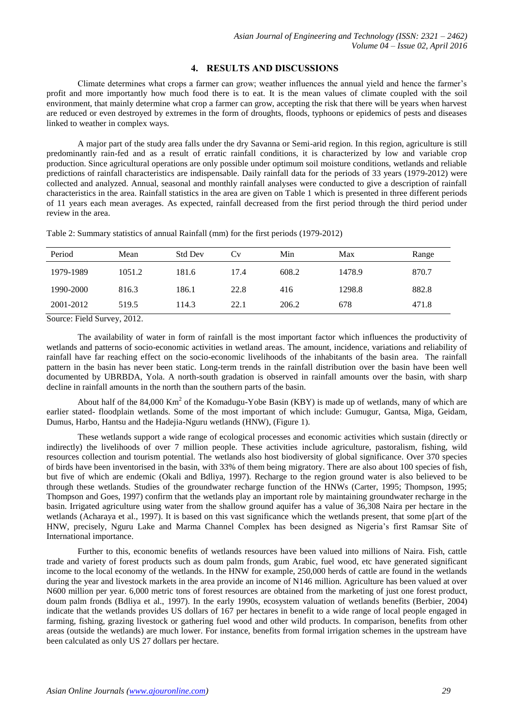## **4. RESULTS AND DISCUSSIONS**

Climate determines what crops a farmer can grow; weather influences the annual yield and hence the farmer's profit and more importantly how much food there is to eat. It is the mean values of climate coupled with the soil environment, that mainly determine what crop a farmer can grow, accepting the risk that there will be years when harvest are reduced or even destroyed by extremes in the form of droughts, floods, typhoons or epidemics of pests and diseases linked to weather in complex ways.

A major part of the study area falls under the dry Savanna or Semi-arid region. In this region, agriculture is still predominantly rain-fed and as a result of erratic rainfall conditions, it is characterized by low and variable crop production. Since agricultural operations are only possible under optimum soil moisture conditions, wetlands and reliable predictions of rainfall characteristics are indispensable. Daily rainfall data for the periods of 33 years (1979-2012) were collected and analyzed. Annual, seasonal and monthly rainfall analyses were conducted to give a description of rainfall characteristics in the area. Rainfall statistics in the area are given on Table 1 which is presented in three different periods of 11 years each mean averages. As expected, rainfall decreased from the first period through the third period under review in the area.

| Table 2: Summary statistics of annual Rainfall (mm) for the first periods (1979-2012) |  |  |
|---------------------------------------------------------------------------------------|--|--|
|---------------------------------------------------------------------------------------|--|--|

| Period    | Mean   | <b>Std Dev</b> | Cv   | Min   | Max    | Range |
|-----------|--------|----------------|------|-------|--------|-------|
| 1979-1989 | 1051.2 | 181.6          | 17.4 | 608.2 | 1478.9 | 870.7 |
| 1990-2000 | 816.3  | 186.1          | 22.8 | 416   | 1298.8 | 882.8 |
| 2001-2012 | 519.5  | 114.3          | 22.1 | 206.2 | 678    | 471.8 |

Source: Field Survey, 2012.

The availability of water in form of rainfall is the most important factor which influences the productivity of wetlands and patterns of socio-economic activities in wetland areas. The amount, incidence, variations and reliability of rainfall have far reaching effect on the socio-economic livelihoods of the inhabitants of the basin area. The rainfall pattern in the basin has never been static. Long-term trends in the rainfall distribution over the basin have been well documented by UBRBDA, Yola. A north-south gradation is observed in rainfall amounts over the basin, with sharp decline in rainfall amounts in the north than the southern parts of the basin.

About half of the  $84,000$  Km<sup>2</sup> of the Komadugu-Yobe Basin (KBY) is made up of wetlands, many of which are earlier stated- floodplain wetlands. Some of the most important of which include: Gumugur, Gantsa, Miga, Geidam, Dumus, Harbo, Hantsu and the Hadejia-Nguru wetlands (HNW), (Figure 1).

These wetlands support a wide range of ecological processes and economic activities which sustain (directly or indirectly) the livelihoods of over 7 million people. These activities include agriculture, pastoralism, fishing, wild resources collection and tourism potential. The wetlands also host biodiversity of global significance. Over 370 species of birds have been inventorised in the basin, with 33% of them being migratory. There are also about 100 species of fish, but five of which are endemic (Okali and Bdliya, 1997). Recharge to the region ground water is also believed to be through these wetlands. Studies of the groundwater recharge function of the HNWs (Carter, 1995; Thompson, 1995; Thompson and Goes, 1997) confirm that the wetlands play an important role by maintaining groundwater recharge in the basin. Irrigated agriculture using water from the shallow ground aquifer has a value of 36,308 Naira per hectare in the wetlands (Acharaya et al., 1997). It is based on this vast significance which the wetlands present, that some p[art of the HNW, precisely, Nguru Lake and Marma Channel Complex has been designed as Nigeria's first Ramsar Site of International importance.

Further to this, economic benefits of wetlands resources have been valued into millions of Naira. Fish, cattle trade and variety of forest products such as doum palm fronds, gum Arabic, fuel wood, etc have generated significant income to the local economy of the wetlands. In the HNW for example, 250,000 herds of cattle are found in the wetlands during the year and livestock markets in the area provide an income of N146 million. Agriculture has been valued at over N600 million per year. 6,000 metric tons of forest resources are obtained from the marketing of just one forest product, doum palm fronds (Bdliya et al., 1997). In the early 1990s, ecosystem valuation of wetlands benefits (Berbier, 2004) indicate that the wetlands provides US dollars of 167 per hectares in benefit to a wide range of local people engaged in farming, fishing, grazing livestock or gathering fuel wood and other wild products. In comparison, benefits from other areas (outside the wetlands) are much lower. For instance, benefits from formal irrigation schemes in the upstream have been calculated as only US 27 dollars per hectare.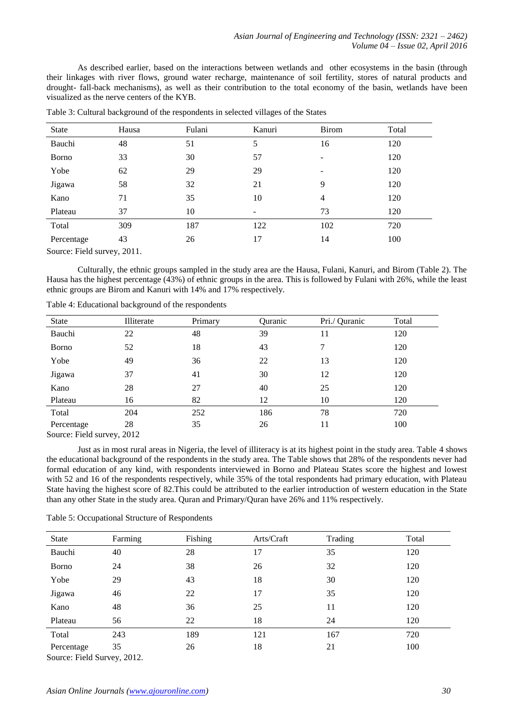As described earlier, based on the interactions between wetlands and other ecosystems in the basin (through their linkages with river flows, ground water recharge, maintenance of soil fertility, stores of natural products and drought- fall-back mechanisms), as well as their contribution to the total economy of the basin, wetlands have been visualized as the nerve centers of the KYB.

| State         | Hausa | Fulani | Kanuri | <b>Birom</b> | Total |
|---------------|-------|--------|--------|--------------|-------|
| Bauchi        | 48    | 51     | 5      | 16           | 120   |
| <b>B</b> orno | 33    | 30     | 57     | ۰            | 120   |
| Yobe          | 62    | 29     | 29     | ۰            | 120   |
| Jigawa        | 58    | 32     | 21     | 9            | 120   |
| Kano          | 71    | 35     | 10     | 4            | 120   |
| Plateau       | 37    | 10     | -      | 73           | 120   |
| Total         | 309   | 187    | 122    | 102          | 720   |
| Percentage    | 43    | 26     | 17     | 14           | 100   |

|  | Table 3: Cultural background of the respondents in selected villages of the States |  |  |  |  |
|--|------------------------------------------------------------------------------------|--|--|--|--|

Source: Field survey, 2011.

Culturally, the ethnic groups sampled in the study area are the Hausa, Fulani, Kanuri, and Birom (Table 2). The Hausa has the highest percentage (43%) of ethnic groups in the area. This is followed by Fulani with 26%, while the least ethnic groups are Birom and Kanuri with 14% and 17% respectively.

| State                                                   | Illiterate                 | Primary | Quranic | Pri./ Quranic | Total |
|---------------------------------------------------------|----------------------------|---------|---------|---------------|-------|
| Bauchi                                                  | 22                         | 48      | 39      | 11            | 120   |
| <b>B</b> orno                                           | 52                         | 18      | 43      | 7             | 120   |
| Yobe                                                    | 49                         | 36      | 22      | 13            | 120   |
| Jigawa                                                  | 37                         | 41      | 30      | 12            | 120   |
| Kano                                                    | 28                         | 27      | 40      | 25            | 120   |
| Plateau                                                 | 16                         | 82      | 12      | 10            | 120   |
| Total                                                   | 204                        | 252     | 186     | 78            | 720   |
| Percentage<br>$\sim$ $\sim$ $\sim$ $\sim$ $\sim$ $\sim$ | 28<br>$\sim$ $\sim$ $\sim$ | 35      | 26      | 11            | 100   |

Table 4: Educational background of the respondents

Source: Field survey, 2012

Just as in most rural areas in Nigeria, the level of illiteracy is at its highest point in the study area. Table 4 shows the educational background of the respondents in the study area. The Table shows that 28% of the respondents never had formal education of any kind, with respondents interviewed in Borno and Plateau States score the highest and lowest with 52 and 16 of the respondents respectively, while 35% of the total respondents had primary education, with Plateau State having the highest score of 82.This could be attributed to the earlier introduction of western education in the State than any other State in the study area. Quran and Primary/Quran have 26% and 11% respectively.

|  |  |  | Table 5: Occupational Structure of Respondents |
|--|--|--|------------------------------------------------|
|--|--|--|------------------------------------------------|

| State                       | Farming | Fishing | Arts/Craft | Trading | Total |  |
|-----------------------------|---------|---------|------------|---------|-------|--|
| Bauchi                      | 40      | 28      | 17         | 35      | 120   |  |
| <b>B</b> orno               | 24      | 38      | 26         | 32      | 120   |  |
| Yobe                        | 29      | 43      | 18         | 30      | 120   |  |
| Jigawa                      | 46      | 22      | 17         | 35      | 120   |  |
| Kano                        | 48      | 36      | 25         | 11      | 120   |  |
| Plateau                     | 56      | 22      | 18         | 24      | 120   |  |
| Total                       | 243     | 189     | 121        | 167     | 720   |  |
| Percentage                  | 35      | 26      | 18         | 21      | 100   |  |
| Source: Field Survey, 2012. |         |         |            |         |       |  |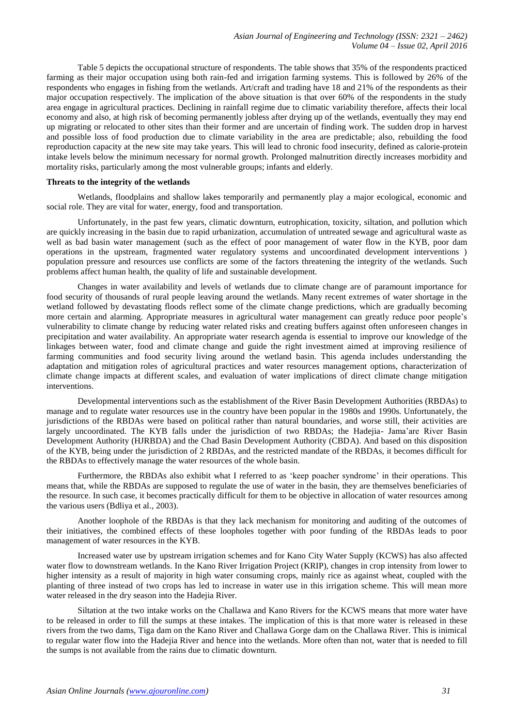Table 5 depicts the occupational structure of respondents. The table shows that 35% of the respondents practiced farming as their major occupation using both rain-fed and irrigation farming systems. This is followed by 26% of the respondents who engages in fishing from the wetlands. Art/craft and trading have 18 and 21% of the respondents as their major occupation respectively. The implication of the above situation is that over 60% of the respondents in the study area engage in agricultural practices. Declining in rainfall regime due to climatic variability therefore, affects their local economy and also, at high risk of becoming permanently jobless after drying up of the wetlands, eventually they may end up migrating or relocated to other sites than their former and are uncertain of finding work. The sudden drop in harvest and possible loss of food production due to climate variability in the area are predictable; also, rebuilding the food reproduction capacity at the new site may take years. This will lead to chronic food insecurity, defined as calorie-protein intake levels below the minimum necessary for normal growth. Prolonged malnutrition directly increases morbidity and mortality risks, particularly among the most vulnerable groups; infants and elderly.

## **Threats to the integrity of the wetlands**

Wetlands, floodplains and shallow lakes temporarily and permanently play a major ecological, economic and social role. They are vital for water, energy, food and transportation.

Unfortunately, in the past few years, climatic downturn, eutrophication, toxicity, siltation, and pollution which are quickly increasing in the basin due to rapid urbanization, accumulation of untreated sewage and agricultural waste as well as bad basin water management (such as the effect of poor management of water flow in the KYB, poor dam operations in the upstream, fragmented water regulatory systems and uncoordinated development interventions ) population pressure and resources use conflicts are some of the factors threatening the integrity of the wetlands. Such problems affect human health, the quality of life and sustainable development.

Changes in water availability and levels of wetlands due to climate change are of paramount importance for food security of thousands of rural people leaving around the wetlands. Many recent extremes of water shortage in the wetland followed by devastating floods reflect some of the climate change predictions, which are gradually becoming more certain and alarming. Appropriate measures in agricultural water management can greatly reduce poor people's vulnerability to climate change by reducing water related risks and creating buffers against often unforeseen changes in precipitation and water availability. An appropriate water research agenda is essential to improve our knowledge of the linkages between water, food and climate change and guide the right investment aimed at improving resilience of farming communities and food security living around the wetland basin. This agenda includes understanding the adaptation and mitigation roles of agricultural practices and water resources management options, characterization of climate change impacts at different scales, and evaluation of water implications of direct climate change mitigation interventions.

Developmental interventions such as the establishment of the River Basin Development Authorities (RBDAs) to manage and to regulate water resources use in the country have been popular in the 1980s and 1990s. Unfortunately, the jurisdictions of the RBDAs were based on political rather than natural boundaries, and worse still, their activities are largely uncoordinated. The KYB falls under the jurisdiction of two RBDAs; the Hadejia- Jama'are River Basin Development Authority (HJRBDA) and the Chad Basin Development Authority (CBDA). And based on this disposition of the KYB, being under the jurisdiction of 2 RBDAs, and the restricted mandate of the RBDAs, it becomes difficult for the RBDAs to effectively manage the water resources of the whole basin.

Furthermore, the RBDAs also exhibit what I referred to as 'keep poacher syndrome' in their operations. This means that, while the RBDAs are supposed to regulate the use of water in the basin, they are themselves beneficiaries of the resource. In such case, it becomes practically difficult for them to be objective in allocation of water resources among the various users (Bdliya et al., 2003).

Another loophole of the RBDAs is that they lack mechanism for monitoring and auditing of the outcomes of their initiatives, the combined effects of these loopholes together with poor funding of the RBDAs leads to poor management of water resources in the KYB.

Increased water use by upstream irrigation schemes and for Kano City Water Supply (KCWS) has also affected water flow to downstream wetlands. In the Kano River Irrigation Project (KRIP), changes in crop intensity from lower to higher intensity as a result of majority in high water consuming crops, mainly rice as against wheat, coupled with the planting of three instead of two crops has led to increase in water use in this irrigation scheme. This will mean more water released in the dry season into the Hadejia River.

Siltation at the two intake works on the Challawa and Kano Rivers for the KCWS means that more water have to be released in order to fill the sumps at these intakes. The implication of this is that more water is released in these rivers from the two dams, Tiga dam on the Kano River and Challawa Gorge dam on the Challawa River. This is inimical to regular water flow into the Hadejia River and hence into the wetlands. More often than not, water that is needed to fill the sumps is not available from the rains due to climatic downturn.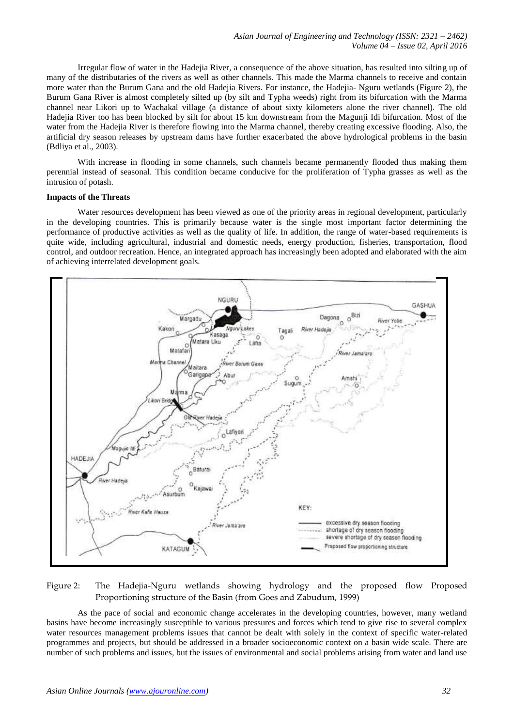Irregular flow of water in the Hadejia River, a consequence of the above situation, has resulted into silting up of many of the distributaries of the rivers as well as other channels. This made the Marma channels to receive and contain more water than the Burum Gana and the old Hadejia Rivers. For instance, the Hadejia- Nguru wetlands (Figure 2), the Burum Gana River is almost completely silted up (by silt and Typha weeds) right from its bifurcation with the Marma channel near Likori up to Wachakal village (a distance of about sixty kilometers alone the river channel). The old Hadejia River too has been blocked by silt for about 15 km downstream from the Magunji Idi bifurcation. Most of the water from the Hadejia River is therefore flowing into the Marma channel, thereby creating excessive flooding. Also, the artificial dry season releases by upstream dams have further exacerbated the above hydrological problems in the basin (Bdliya et al., 2003).

With increase in flooding in some channels, such channels became permanently flooded thus making them perennial instead of seasonal. This condition became conducive for the proliferation of Typha grasses as well as the intrusion of potash.

## **Impacts of the Threats**

Water resources development has been viewed as one of the priority areas in regional development, particularly in the developing countries. This is primarily because water is the single most important factor determining the performance of productive activities as well as the quality of life. In addition, the range of water-based requirements is quite wide, including agricultural, industrial and domestic needs, energy production, fisheries, transportation, flood control, and outdoor recreation. Hence, an integrated approach has increasingly been adopted and elaborated with the aim of achieving interrelated development goals.



# Figure 2: The Hadejia-Nguru wetlands showing hydrology and the proposed flow Proposed Proportioning structure of the Basin (from Goes and Zabudum, 1999)

As the pace of social and economic change accelerates in the developing countries, however, many wetland basins have become increasingly susceptible to various pressures and forces which tend to give rise to several complex water resources management problems issues that cannot be dealt with solely in the context of specific water-related programmes and projects, but should be addressed in a broader socioeconomic context on a basin wide scale. There are number of such problems and issues, but the issues of environmental and social problems arising from water and land use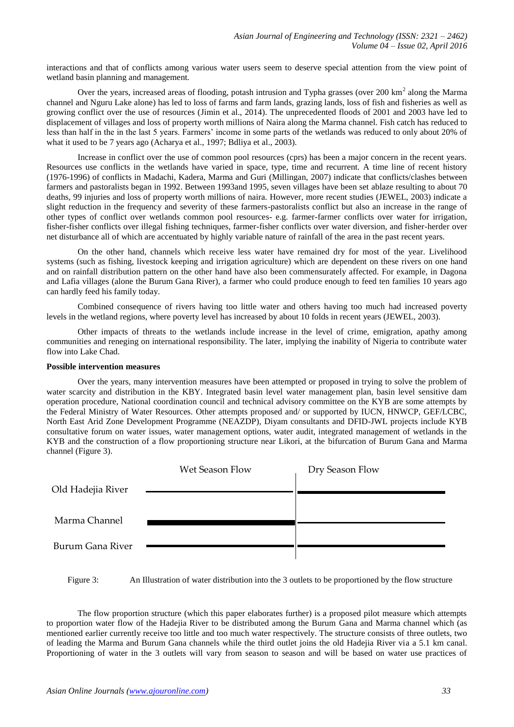interactions and that of conflicts among various water users seem to deserve special attention from the view point of wetland basin planning and management.

Over the years, increased areas of flooding, potash intrusion and Typha grasses (over  $200 \text{ km}^2$  along the Marma channel and Nguru Lake alone) has led to loss of farms and farm lands, grazing lands, loss of fish and fisheries as well as growing conflict over the use of resources (Jimin et al., 2014). The unprecedented floods of 2001 and 2003 have led to displacement of villages and loss of property worth millions of Naira along the Marma channel. Fish catch has reduced to less than half in the in the last 5 years. Farmers' income in some parts of the wetlands was reduced to only about 20% of what it used to be 7 years ago (Acharya et al., 1997; Bdliya et al., 2003).

Increase in conflict over the use of common pool resources (cprs) has been a major concern in the recent years. Resources use conflicts in the wetlands have varied in space, type, time and recurrent. A time line of recent history (1976-1996) of conflicts in Madachi, Kadera, Marma and Guri (Millingan, 2007) indicate that conflicts/clashes between farmers and pastoralists began in 1992. Between 1993and 1995, seven villages have been set ablaze resulting to about 70 deaths, 99 injuries and loss of property worth millions of naira. However, more recent studies (JEWEL, 2003) indicate a slight reduction in the frequency and severity of these farmers-pastoralists conflict but also an increase in the range of other types of conflict over wetlands common pool resources- e.g. farmer-farmer conflicts over water for irrigation, fisher-fisher conflicts over illegal fishing techniques, farmer-fisher conflicts over water diversion, and fisher-herder over net disturbance all of which are accentuated by highly variable nature of rainfall of the area in the past recent years.

On the other hand, channels which receive less water have remained dry for most of the year. Livelihood systems (such as fishing, livestock keeping and irrigation agriculture) which are dependent on these rivers on one hand and on rainfall distribution pattern on the other hand have also been commensurately affected. For example, in Dagona and Lafia villages (alone the Burum Gana River), a farmer who could produce enough to feed ten families 10 years ago can hardly feed his family today.

Combined consequence of rivers having too little water and others having too much had increased poverty levels in the wetland regions, where poverty level has increased by about 10 folds in recent years (JEWEL, 2003).

Other impacts of threats to the wetlands include increase in the level of crime, emigration, apathy among communities and reneging on international responsibility. The later, implying the inability of Nigeria to contribute water flow into Lake Chad.

#### **Possible intervention measures**

Over the years, many intervention measures have been attempted or proposed in trying to solve the problem of water scarcity and distribution in the KBY. Integrated basin level water management plan, basin level sensitive dam operation procedure, National coordination council and technical advisory committee on the KYB are some attempts by the Federal Ministry of Water Resources. Other attempts proposed and/ or supported by IUCN, HNWCP, GEF/LCBC, North East Arid Zone Development Programme (NEAZDP), Diyam consultants and DFID-JWL projects include KYB consultative forum on water issues, water management options, water audit, integrated management of wetlands in the KYB and the construction of a flow proportioning structure near Likori, at the bifurcation of Burum Gana and Marma channel (Figure 3).

|                   | Wet Season Flow | Dry Season Flow |
|-------------------|-----------------|-----------------|
| Old Hadejia River |                 |                 |
|                   |                 |                 |
| Marma Channel     |                 |                 |
|                   |                 |                 |
| Burum Gana River  |                 |                 |

Figure 3: An Illustration of water distribution into the 3 outlets to be proportioned by the flow structure

The flow proportion structure (which this paper elaborates further) is a proposed pilot measure which attempts to proportion water flow of the Hadejia River to be distributed among the Burum Gana and Marma channel which (as mentioned earlier currently receive too little and too much water respectively. The structure consists of three outlets, two of leading the Marma and Burum Gana channels while the third outlet joins the old Hadejia River via a 5.1 km canal. Proportioning of water in the 3 outlets will vary from season to season and will be based on water use practices of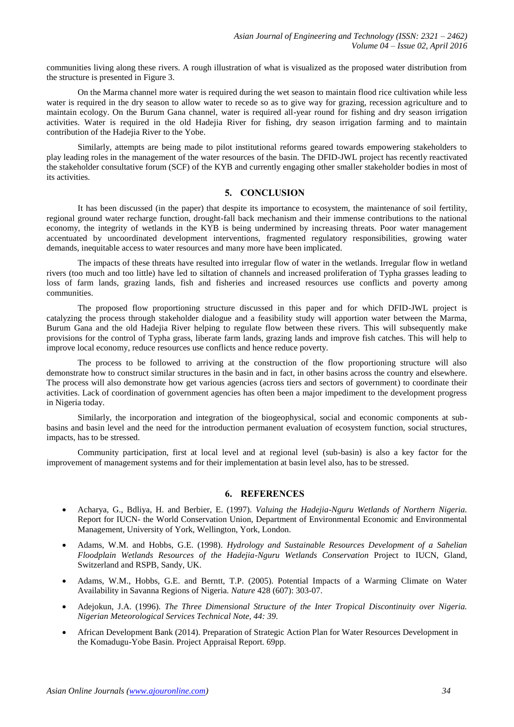communities living along these rivers. A rough illustration of what is visualized as the proposed water distribution from the structure is presented in Figure 3.

On the Marma channel more water is required during the wet season to maintain flood rice cultivation while less water is required in the dry season to allow water to recede so as to give way for grazing, recession agriculture and to maintain ecology. On the Burum Gana channel, water is required all-year round for fishing and dry season irrigation activities. Water is required in the old Hadejia River for fishing, dry season irrigation farming and to maintain contribution of the Hadejia River to the Yobe.

Similarly, attempts are being made to pilot institutional reforms geared towards empowering stakeholders to play leading roles in the management of the water resources of the basin. The DFID-JWL project has recently reactivated the stakeholder consultative forum (SCF) of the KYB and currently engaging other smaller stakeholder bodies in most of its activities.

## **5. CONCLUSION**

It has been discussed (in the paper) that despite its importance to ecosystem, the maintenance of soil fertility, regional ground water recharge function, drought-fall back mechanism and their immense contributions to the national economy, the integrity of wetlands in the KYB is being undermined by increasing threats. Poor water management accentuated by uncoordinated development interventions, fragmented regulatory responsibilities, growing water demands, inequitable access to water resources and many more have been implicated.

The impacts of these threats have resulted into irregular flow of water in the wetlands. Irregular flow in wetland rivers (too much and too little) have led to siltation of channels and increased proliferation of Typha grasses leading to loss of farm lands, grazing lands, fish and fisheries and increased resources use conflicts and poverty among communities.

The proposed flow proportioning structure discussed in this paper and for which DFID-JWL project is catalyzing the process through stakeholder dialogue and a feasibility study will apportion water between the Marma, Burum Gana and the old Hadejia River helping to regulate flow between these rivers. This will subsequently make provisions for the control of Typha grass, liberate farm lands, grazing lands and improve fish catches. This will help to improve local economy, reduce resources use conflicts and hence reduce poverty.

The process to be followed to arriving at the construction of the flow proportioning structure will also demonstrate how to construct similar structures in the basin and in fact, in other basins across the country and elsewhere. The process will also demonstrate how get various agencies (across tiers and sectors of government) to coordinate their activities. Lack of coordination of government agencies has often been a major impediment to the development progress in Nigeria today.

Similarly, the incorporation and integration of the biogeophysical, social and economic components at subbasins and basin level and the need for the introduction permanent evaluation of ecosystem function, social structures, impacts, has to be stressed.

Community participation, first at local level and at regional level (sub-basin) is also a key factor for the improvement of management systems and for their implementation at basin level also, has to be stressed.

#### **6. REFERENCES**

- Acharya, G., Bdliya, H. and Berbier, E. (1997). *Valuing the Hadejia-Nguru Wetlands of Northern Nigeria.* Report for IUCN- the World Conservation Union, Department of Environmental Economic and Environmental Management, University of York, Wellington, York, London.
- Adams, W.M. and Hobbs, G.E. (1998). *Hydrology and Sustainable Resources Development of a Sahelian Floodplain Wetlands Resources of the Hadejia-Nguru Wetlands Conservation* Project to IUCN, Gland, Switzerland and RSPB, Sandy, UK.
- Adams, W.M., Hobbs, G.E. and Berntt, T.P. (2005). Potential Impacts of a Warming Climate on Water Availability in Savanna Regions of Nigeria. *Nature* 428 (607): 303-07.
- Adejokun, J.A. (1996). *The Three Dimensional Structure of the Inter Tropical Discontinuity over Nigeria. Nigerian Meteorological Services Technical Note, 44: 39.*
- African Development Bank (2014). Preparation of Strategic Action Plan for Water Resources Development in the Komadugu-Yobe Basin. Project Appraisal Report. 69pp.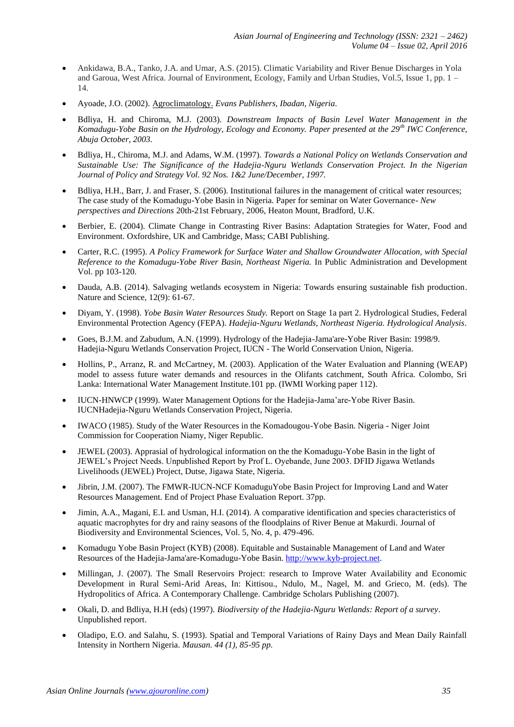- Ankidawa, B.A., Tanko, J.A. and Umar, A.S. (2015). Climatic Variability and River Benue Discharges in Yola and Garoua, West Africa. Journal of Environment, Ecology, Family and Urban Studies, Vol.5, Issue 1, pp. 1 – 14.
- Ayoade, J.O. (2002). Agroclimatology. *Evans Publishers, Ibadan, Nigeria.*
- Bdliya, H. and Chiroma, M.J. (2003). *Downstream Impacts of Basin Level Water Management in the Komadugu-Yobe Basin on the Hydrology, Ecology and Economy. Paper presented at the 29th IWC Conference, Abuja October, 2003.*
- Bdliya, H., Chiroma, M.J. and Adams, W.M. (1997). *Towards a National Policy on Wetlands Conservation and Sustainable Use: The Significance of the Hadejia-Nguru Wetlands Conservation Project. In the Nigerian Journal of Policy and Strategy Vol. 92 Nos. 1&2 June/December, 1997.*
- Bdliya, H.H., Barr, J. and Fraser, S. (2006). Institutional failures in the management of critical water resources; The case study of the Komadugu-Yobe Basin in Nigeria. Paper for seminar on Water Governance- *New perspectives and Directions* 20th-21st February, 2006, Heaton Mount, Bradford, U.K.
- Berbier, E. (2004). Climate Change in Contrasting River Basins: Adaptation Strategies for Water, Food and Environment. Oxfordshire, UK and Cambridge, Mass; CABI Publishing.
- Carter, R.C. (1995). *A Policy Framework for Surface Water and Shallow Groundwater Allocation, with Special Reference to the Komadugu-Yobe River Basin, Northeast Nigeria.* In Public Administration and Development Vol. pp 103-120.
- Dauda, A.B. (2014). Salvaging wetlands ecosystem in Nigeria: Towards ensuring sustainable fish production. Nature and Science, 12(9): 61-67.
- Diyam, Y. (1998). *Yobe Basin Water Resources Study.* Report on Stage 1a part 2. Hydrological Studies, Federal Environmental Protection Agency (FEPA). *Hadejia-Nguru Wetlands, Northeast Nigeria. Hydrological Analysis*.
- Goes, B.J.M. and Zabudum, A.N. (1999). Hydrology of the Hadejia-Jama'are-Yobe River Basin: 1998/9. Hadejia-Nguru Wetlands Conservation Project, IUCN - The World Conservation Union, Nigeria.
- Hollins, P., Arranz, R. and McCartney, M. (2003). Application of the Water Evaluation and Planning (WEAP) model to assess future water demands and resources in the Olifants catchment, South Africa. Colombo, Sri Lanka: International Water Management Institute.101 pp. (IWMI Working paper 112).
- IUCN-HNWCP (1999). Water Management Options for the Hadejia-Jama'are-Yobe River Basin. IUCNHadejia-Nguru Wetlands Conservation Project, Nigeria.
- IWACO (1985). Study of the Water Resources in the Komadougou-Yobe Basin. Nigeria Niger Joint Commission for Cooperation Niamy, Niger Republic.
- JEWEL (2003). Apprasial of hydrological information on the the Komadugu-Yobe Basin in the light of JEWEL's Project Needs. Unpublished Report by Prof L. Oyebande, June 2003. DFID Jigawa Wetlands Livelihoods (JEWEL) Project, Dutse, Jigawa State, Nigeria.
- Jibrin, J.M. (2007). The FMWR-IUCN-NCF KomaduguYobe Basin Project for Improving Land and Water Resources Management. End of Project Phase Evaluation Report. 37pp.
- Jimin, A.A., Magani, E.I. and Usman, H.I. (2014). A comparative identification and species characteristics of aquatic macrophytes for dry and rainy seasons of the floodplains of River Benue at Makurdi. Journal of Biodiversity and Environmental Sciences, Vol. 5, No. 4, p. 479-496.
- Komadugu Yobe Basin Project (KYB) (2008). Equitable and Sustainable Management of Land and Water Resources of the Hadejia-Jama'are-Komadugu-Yobe Basin. [http://www.kyb-project.net.](http://www.kyb-project.net/)
- Millingan, J. (2007). The Small Reservoirs Project: research to Improve Water Availability and Economic Development in Rural Semi-Arid Areas, In: Kittisou., Ndulo, M., Nagel, M. and Grieco, M. (eds). The Hydropolitics of Africa. A Contemporary Challenge. Cambridge Scholars Publishing (2007).
- Okali, D. and Bdliya, H.H (eds) (1997). *Biodiversity of the Hadejia-Nguru Wetlands: Report of a survey*. Unpublished report.
- Oladipo, E.O. and Salahu, S. (1993). Spatial and Temporal Variations of Rainy Days and Mean Daily Rainfall Intensity in Northern Nigeria. *Mausan. 44 (1), 85-95 pp.*